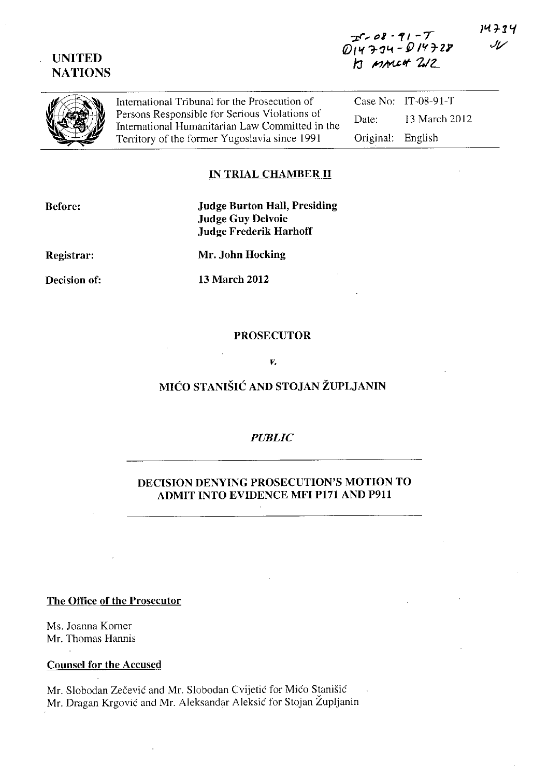# **UNITED NATIONS**

14734

رمال



International Tribunal for the Prosecution of<br>
Persons Responsible for Serious Violations of<br>
International Humanitarian Law Committed in the Territory of the former Yugoslavia since 1991 Case No: IT-08-91-T Date: 13 March 2012 Original: English

### **IN TRIAL CHAMBER 11**

**Before:** 

## **Judge Burton Hall, Presiding Judge Guy Delvoie Judge Frederik Harhoff**

**Registrar:** 

**Mr. John Hocking** 

**Decision of:** 

**13 March 2012** 

#### **PROSECUTOR**

*v.* 

# **MICO STANISIC AND STOJAN ZUPLJANIN**

#### *PUBLIC*

## **DECISION DENYING PROSECUTION'S MOTION** TO **ADMIT INTO EVIDENCE MFI PI7l AND P911**

**The Office of the Prosecutor** 

Ms. Joanna Korner Mr. Thomas Hannis

**Counsel for the Accused** 

Mr. Slobodan Zecevic and Mr. Slobodan Cvijetic for Mico Stanisic Mr. Dragan Krgovic and Mr. Aleksandar Aleksic for Stojan Zupljanin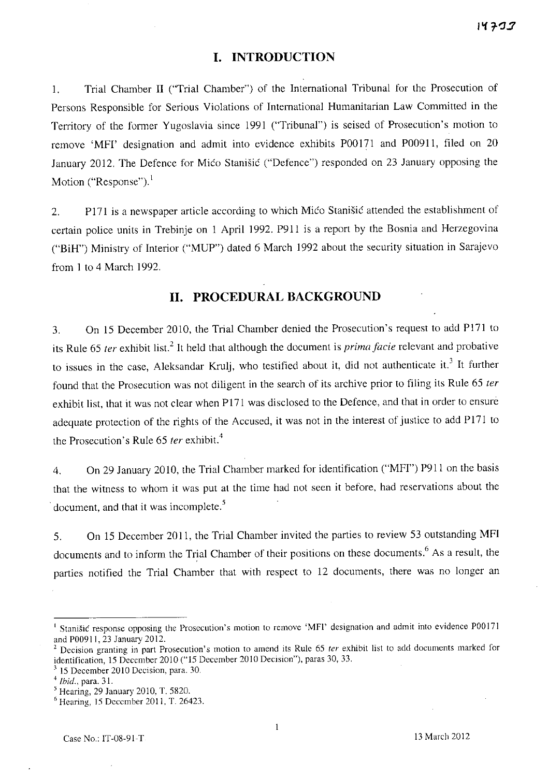### **I. INTRODUCTION**

1. Trial Chamber II ("Trial Chamber") of the International Tribunal for the Prosecution of Persons Responsible for Serious Violations of International Humanitarian Law Committed in the Territory of the former Yugoslavia since 1991 ("Tribunal") is seised of Prosecution's motion to remove 'MFI' designation and admit into evidence exhibits P00l71 and P00911, filed on 20 January 2012. The Defence for Mico Stanišic ("Defence") responded on 23 January opposing the Motion ("Response"). $<sup>1</sup>$ </sup>

2. Pl71 is a newspaper article according to which Mico Stanišic attended the establishment of certain police units in Trebinje on 1 April 1992. P91l is a report by the Bosnia and Herzegovina ("BiH") Ministry of Interior ("MUP") dated 6 March 1992 about the security situation in Sarajevo from 1 to 4 March 1992.

## **11. PROCEDURAL BACKGROUND**

3. On 15 December 2010, the Trial Chamber denied the Prosecution's request to add P171 to its Rule 65 *ter* exhibit list.<sup>2</sup> It held that although the document is *prima facie* relevant and probative to issues in the case, Aleksandar Krulj, who testified about it, did not authenticate it.<sup>3</sup> It further found that the Prosecution was not diligent in the search of its archive prior to filing its Rule 65 ter exhibit list, that it was not clear when P171 was disclosed to the Defence, and that in order to ensure adequate protection of the rights of the Accused, it was not in the interest of justice to add P171 to the Prosecution's Rule 65 *ter* exhibit.<sup>4</sup>

4. On 29 January 2010, the Trial Chamber marked for identification ("MFI") P911 on the basis that the witness to whom it was put at the time had not seen it before, had reservations about the document, and that it was incomplete.<sup>5</sup>

5. On 15 December 2011, the Trial Chamber invited the parties to review 53 outstanding MFI documents and to inform the Trial Chamber of their positions on these documents.<sup>6</sup> As a result, the parties notified the Trial Chamber that with respect to 12 documents, there was no longer an

**<sup>[</sup> Stanisic response opposing the Prosecution's motion to remove 'MFI' designation and admit into evidence POOI7!**  and P00911. 23 January 2012.

Decision granting in part Prosecution's motion to amend its Rule 65 *ter* exhibit list to add documents marked for identification, 15 December 2010 ("15 December 2010 Decision"), paras 30. 33.

<sup>3 15</sup> December 2010 Decision, para. 30.

<sup>&</sup>lt;sup>4</sup> *Ibid.*, para. 31.

 $<sup>5</sup>$  Hearing, 29 January 2010, T. 5820.</sup>

<sup>6</sup> Hearing, 15 December 2011, T. 26423.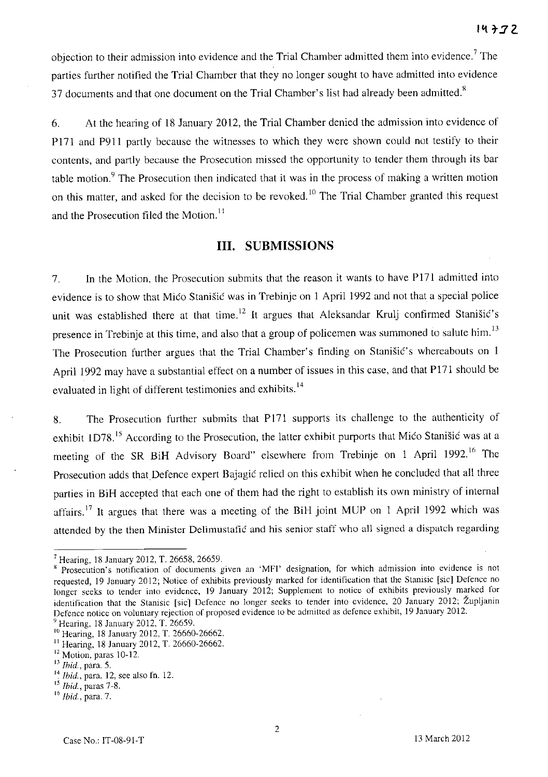objection to their admission into evidence and the Trial Chamber admitted them into evidence.<sup>7</sup> The parties further notified the Trial Chamber that they no longer sought to have admitted into evidence 37 documents and that one document on the Trial Chamber's list had already been admitted. $8$ 

6. At the hearing of 18 January 2012, the Trial Chamber denied the admission into evidence of P171 and P911 partly because the witnesses to which they were shown could not testify to their contents, and partly because the Prosecution missed the opportunity to tender them through its bar table motion.<sup>9</sup> The Prosecution then indicated that it was in the process of making a written motion on this matter, and asked for the decision to be revoked.<sup>10</sup> The Trial Chamber granted this request and the Prosecution filed the Motion.<sup>11</sup>

#### Ill. SUBMISSIONS

7. In the Motion, the Prosecution submits that the reason it wants to have P171 admitted into evidence is to show that Mico Stanisic was in Trebinje on 1 April 1992 and not that a special police unit was established there at that time.<sup>12</sup> It argues that Aleksandar Krulj confirmed Stanišić's presence in Trebinje at this time, and also that a group of policemen was summoned to salute him.<sup>13</sup> The Prosecution further argues that the Trial Chamber's finding on Stanisic's whereabouts on 1 April 1992 may have a substantial effect on a number of issues in this case, and that P171 should be evaluated in light of different testimonies and exhibits.<sup>14</sup>

8. The Prosecution further submits that P171 supports its challenge to the authenticity of exhibit 1D78.<sup>15</sup> According to the Prosecution, the latter exhibit purports that Mico Stanišic was at a meeting of the SR BiH Advisory Board" elsewhere from Trebinje on 1 April 1992.<sup>16</sup> The Prosecution adds that Defence expert Bajagic relied on this exhibit when he concluded that all three parties in BiH accepted that each one of them had the right to establish its own ministry of internal affairs.<sup>17</sup> It argues that there was a meeting of the BiH joint MUP on 1 April 1992 which was attended by the then Minister Delimustafic and his senior staff who all signed a dispatch regarding

<sup>9</sup> Hearing, 18 January 2012, T. 26659.

<sup>7</sup> Hearing, IS January 2012, T. 2665S, 26659.

<sup>&</sup>lt;sup>8</sup> Prosecution's notification of documents given an 'MFI' designation, for which admission into evidence is not requested, 19 January 2012; Notice of exhibits previously marked for identification that the Stanisic [sic] Defence no longer seeks to tender into evidence, 19 January 2012; Supplement to notice of exhibits previously marked for identification that the Stanisic [sic] Defence no longer seeks to tender into evidence, 20 January 2012; Župljanin Defence notice on voluntary rejection of proposed evidence to be admitted as defence exhibit, 19 January 2012.

<sup>&</sup>lt;sup>10</sup> Hearing, 18 January 2012, T. 26660-26662.

 $11$  Hearing, 18 January 2012, T. 26660-26662.

<sup>&</sup>lt;sup>12</sup> Motion, paras 10-12.

<sup>13</sup>*Ibid.,* para. 5.

<sup>14</sup>*Ibid.,* para. 12, sce also fn. 12.

<sup>15</sup>*Ibid.,* paras 7-S.

<sup>16</sup>*Ibid.,* para. 7.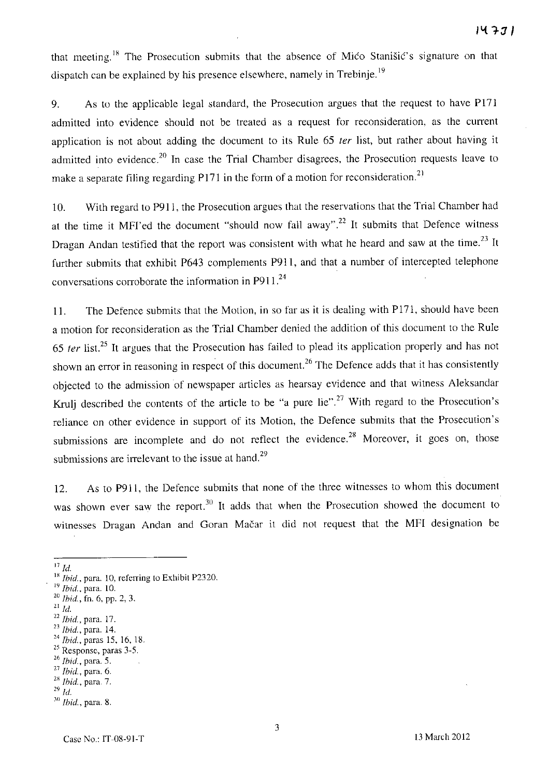that meeting.<sup>18</sup> The Prosecution submits that the absence of Mico Stanišic's signature on that dispatch can be explained by his presence elsewhere, namely in Trebinje.<sup>19</sup>

9. As to the applicable legal standard, the Prosecution argues that the request to have P17l admitted into evidence should not be treated as a request for reconsideration, as the current application is not about adding the document to its Rule 65 ter list, but rather about having it admitted into evidence.<sup>20</sup> In case the Trial Chamber disagrees, the Prosecution requests leave to make a separate filing regarding P171 in the form of a motion for reconsideration.<sup>21</sup>

10. With regard to P911, the Prosecution argues that the reservations that the Trial Chamber had at the time it MFI'ed the document "should now fall away".<sup>22</sup> It submits that Defence witness Dragan Andan testified that the report was consistent with what he heard and saw at the time.<sup>23</sup> It further submits that exhibit P643 complements P911, and that a number of intercepted telephone conversations corroborate the information in P911.<sup>24</sup>

11. The Defence submits that the Motion, in so far as it is dealing with P171, should have been a motion for reconsideration as the Trial Chamber denied the addition of this document to the Rule *65* fer list. 25 It argues that the Prosecution has failed to plead its application properly and has not shown an error in reasoning in respect of this document.<sup>26</sup> The Defence adds that it has consistently objected to the admission of newspaper articles as hearsay evidence and that witness Aleksandar Krulj described the contents of the article to be "a pure lie".<sup>27</sup> With regard to the Prosecution's reliance on other evidence in support of its Motion, the Defence submits that the Prosecution's submissions are incomplete and do not reflect the evidence.<sup>28</sup> Moreover, it goes on, those submissions are irrelevant to the issue at hand.<sup>29</sup>

12. As to P911, the Defence submits that none of the three witnesses to whom this document was shown ever saw the report.<sup>30</sup> It adds that when the Prosecution showed the document to witnesses Dragan Andan and Goran Macar it did not request that the MFl designation be

<sup>22</sup>*Ibid.,* para. 17.

<sup>27</sup>*Ibid.,* para. 6.

<sup>17</sup>*Id.* 

<sup>&</sup>lt;sup>18</sup> *Ibid.*, para. 10, referring to Exhibit P2320.

<sup>&</sup>lt;sup>19</sup> Ibid., para. 10.

*<sup>20</sup> Ibid.,* fn. 6, pp. 2, 3.

<sup>21</sup>*Id.* 

*<sup>23</sup> Ibid.,* para. 14. <sup>24</sup> *Ibid.*, paras 15, 16, 18.

<sup>&</sup>lt;sup>25</sup> Response, paras 3-5.

*<sup>26</sup> Ibid.,* para. 5.

<sup>&</sup>lt;sup>28</sup> *Ibid.*, para. 7.

*<sup>29</sup> Id.* 

<sup>3()</sup> **Ihid., para. 8.**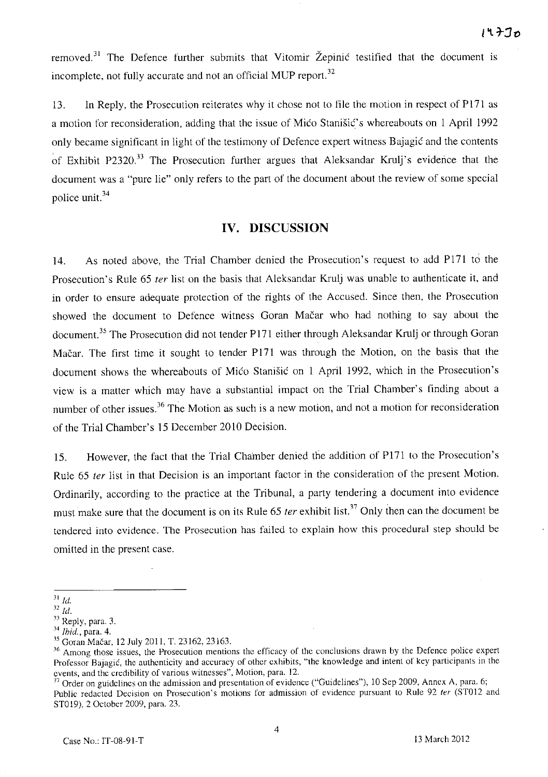removed.<sup>31</sup> The Defence further submits that Vitomir Žepinić testified that the document is incomplete, not fully accurate and not an official MUP report.<sup>32</sup>

13. In Reply, the Prosecution reiterates why it chose not to file the motion in respect of P171 as a motion for reconsideration, adding that the issue of Mico Stanišic's whereabouts on 1 April 1992 only became significant in light of the testimony of Defence expert witness Bajagic and the contents of Exhibit P2320.<sup>33</sup> The Prosecution further argues that Aleksandar Krulj's evidence that the document was a "pure lie" only refers to the part of the document about the review of some special police unit. 34

#### **IV. DISCUSSION**

14. As noted above, the Trial Chamber denied the Prosecution's request to add P171 to the Prosecution's Rule 65 ter list on the basis that Aleksandar Krulj was unable to authenticate it, and in order to ensure adequate protection of the rights of the Accused. Since then, the Prosecution showed the document to Defence witness Goran Macar who had nothing to say about the document.<sup>35</sup> The Prosecution did not tender P171 either through Aleksandar Krulj or through Goran Mačar. The first time it sought to tender P171 was through the Motion, on the basis that the document shows the whereabouts of Mico Stanisic on 1 April 1992, which in the Prosecution's view is a matter which may have a substantial impact on the Trial Chamber's finding about a number of other issues.<sup>36</sup> The Motion as such is a new motion, and not a motion for reconsideration of the Trial Chamber's IS December 2010 Decision.

IS. However, the fact that the Trial Chamber denied the addition of P171 to the Prosecution's Rule 65 ter list in that Decision is an important factor in the consideration of the present Motion. Ordinarily, according to the practice at the Tribunal, a party tendering a document into evidence must make sure that the document is on its Rule 65 *ter* exhibit list.<sup>37</sup> Only then can the document be tendered into evidence. The Prosecution has failed to explain how this procedural step should be omitted in the present case.

 $^{31}$   $\emph{Id.}$ 

 $\overline{\phantom{a}^{32}d}$ .

 $33$  Reply, para. 3.

J4 *Ihid.,* para. 4.

<sup>35</sup> Goran Macar, 12 July 2011, T. 23162, 23163.

<sup>36</sup>**Among those issues, the Prosecution mentions the efficacy of the conclusions drawn by the Defence police expert Professor Bajagic, the authenticity and accuracy of other exhibits, "the knowledge and intent of key participants in the events, and the credibility of various witnesses", Motion, para. 12.** 

 $37$  Order on guidelines on the admission and presentation of evidence ("Guidelines"), 10 Sep 2009, Annex A, para. 6; Public redacted Decision on Prosecution's motions for admission of evidence pursuant to Rule 92 *ter* (ST012 and STOI9), 2 October 2009, para. 23.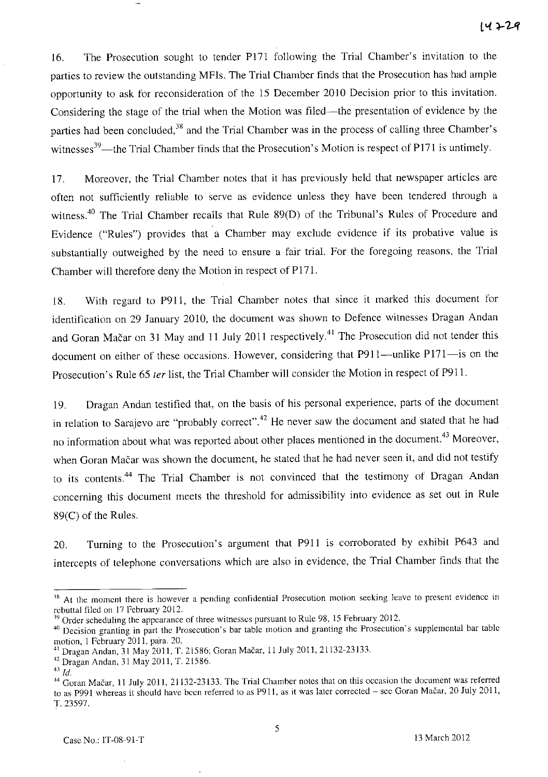16. The Prosecution sought to tender P171 following the Trial Chamber's invitation to the parties to review the outstanding MFls. The Trial Chamber finds that the Prosecution has had ample opportunity to ask for reconsideration of the 15 December 2010 Decision prior to this invitation. Considering the stage of the trial when the Motion was filed—the presentation of evidence by the parties had been concluded,<sup>38</sup> and the Trial Chamber was in the process of calling three Chamber's witnesses<sup>39</sup>—the Trial Chamber finds that the Prosecution's Motion is respect of P171 is untimely.

17. Moreover, the Trial Chamber notes that it has previously held that newspaper articles are often not sufficiently reliable to serve as evidence unless they have been tendered through a witness.<sup>40</sup> The Trial Chamber recalls that Rule 89(D) of the Tribunal's Rules of Procedure and Evidence ("Rules") provides that a Chamber may exclude evidence if its probative value is substantially outweighed by the need to ensure a fair trial. For the foregoing reasons, the Trial Chamber will therefore deny the Motion in respect of P171.

18. With regard to P9l1, the Trial Chamber notes that since it marked this document for identification on 29 January 2010, the document was shown to Defence witnesses Dragan Andan and Goran Mačar on 31 May and 11 July 2011 respectively.<sup>41</sup> The Prosecution did not tender this document on either of these occasions. However, considering that P911-unlike P171-is on the Prosecution's Rule 65 ter list, the Trial Chamber will consider the Motion in respect of P911.

19. Dragan Andan testified that, on the basis of his personal experience, parts of the document in relation to Sarajevo are "probably correct".<sup>42</sup> He never saw the document and stated that he had no information about what was reported about other places mentioned in the document.<sup>43</sup> Moreover, when Goran Mačar was shown the document, he stated that he had never seen it, and did not testify to its contents.<sup>44</sup> The Trial Chamber is not convinced that the testimony of Dragan Andan concerning this document meets the threshold for admissibility into evidence as set out in Rule 89(C) of the Rules.

20. Turning to the Prosecution's argument that P9ll is corroborated by exhibit P643 and intercepts of telephone conversations which are also in evidence, the Trial Chamber finds that the

<sup>&</sup>lt;sup>38</sup> At the moment there is however a pending confidential Prosecution motion seeking leave to present evidence in rebuttal filed on 17 February 2012.

<sup>&</sup>lt;sup>39</sup> Order scheduling the appearance of three witnesses pursuant to Rule 98, 15 February 2012.

<sup>&</sup>lt;sup>40</sup> Decision granting in part the Prosecution's bar table motion and granting the Prosecution's supplemental bar table motion, I February 2011, para. 20.

<sup>4</sup>i Dragan Andan, 31 May 2011, T. 21586; Goran Macar, 11 July 2011, 21132-23133.

<sup>42</sup> Dragan Andan, 31 May 2011, T. 21586.

 $43 \overline{1}d.$ 

<sup>&</sup>lt;sup>44</sup> Goran Mačar, 11 July 2011, 21132-23133. The Trial Chamber notes that on this occasion the document was referred to as P991 whereas it should have been referred to as P911, as it was later corrected - see Goran Mačar, 20 July 2011, T.23597.